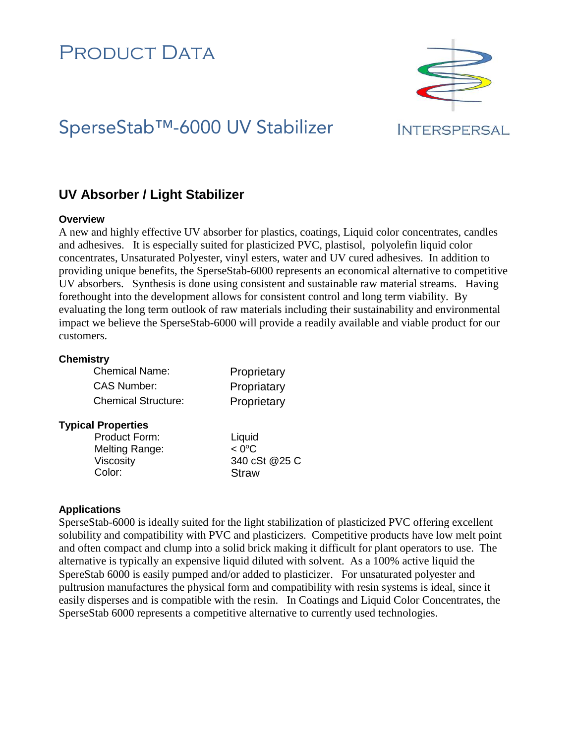# PRODUCT DATA

# SperseStab™-6000 UV Stabilizer

### **INTERSPERSAL**

## **UV Absorber / Light Stabilizer**

#### **Overview**

A new and highly effective UV absorber for plastics, coatings, Liquid color concentrates, candles and adhesives. It is especially suited for plasticized PVC, plastisol, polyolefin liquid color concentrates, Unsaturated Polyester, vinyl esters, water and UV cured adhesives. In addition to providing unique benefits, the SperseStab-6000 represents an economical alternative to competitive UV absorbers. Synthesis is done using consistent and sustainable raw material streams. Having forethought into the development allows for consistent control and long term viability. By evaluating the long term outlook of raw materials including their sustainability and environmental impact we believe the SperseStab-6000 will provide a readily available and viable product for our customers.

#### **Chemistry**

| <b>Chemical Name:</b>      | Proprietary |
|----------------------------|-------------|
| CAS Number:                | Propriatary |
| <b>Chemical Structure:</b> | Proprietary |

#### **Typical Properties**

| <b>Product Form:</b> | Liquid          |
|----------------------|-----------------|
| Melting Range:       | $< 0^{\circ}$ C |
| <b>Viscosity</b>     | 340 cSt @25 C   |
| Color:               | <b>Straw</b>    |

### **Applications**

SperseStab-6000 is ideally suited for the light stabilization of plasticized PVC offering excellent solubility and compatibility with PVC and plasticizers. Competitive products have low melt point and often compact and clump into a solid brick making it difficult for plant operators to use. The alternative is typically an expensive liquid diluted with solvent. As a 100% active liquid the SpereStab 6000 is easily pumped and/or added to plasticizer. For unsaturated polyester and pultrusion manufactures the physical form and compatibility with resin systems is ideal, since it easily disperses and is compatible with the resin. In Coatings and Liquid Color Concentrates, the SperseStab 6000 represents a competitive alternative to currently used technologies.